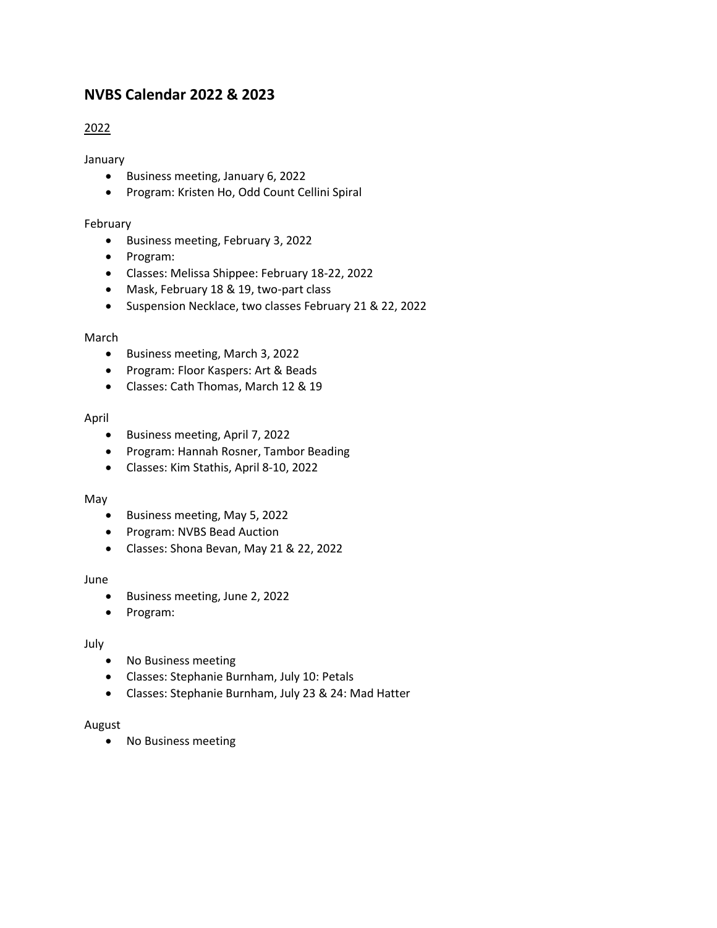# **NVBS Calendar 2022 & 2023**

# 2022

January

- Business meeting, January 6, 2022
- Program: Kristen Ho, Odd Count Cellini Spiral

# February

- Business meeting, February 3, 2022
- Program:
- Classes: Melissa Shippee: February 18-22, 2022
- Mask, February 18 & 19, two-part class
- Suspension Necklace, two classes February 21 & 22, 2022

# March

- Business meeting, March 3, 2022
- Program: Floor Kaspers: Art & Beads
- Classes: Cath Thomas, March 12 & 19

# April

- Business meeting, April 7, 2022
- Program: Hannah Rosner, Tambor Beading
- Classes: Kim Stathis, April 8-10, 2022

#### May

- Business meeting, May 5, 2022
- Program: NVBS Bead Auction
- Classes: Shona Bevan, May 21 & 22, 2022

# June

- Business meeting, June 2, 2022
- Program:

# July

- No Business meeting
- Classes: Stephanie Burnham, July 10: Petals
- Classes: Stephanie Burnham, July 23 & 24: Mad Hatter

#### August

• No Business meeting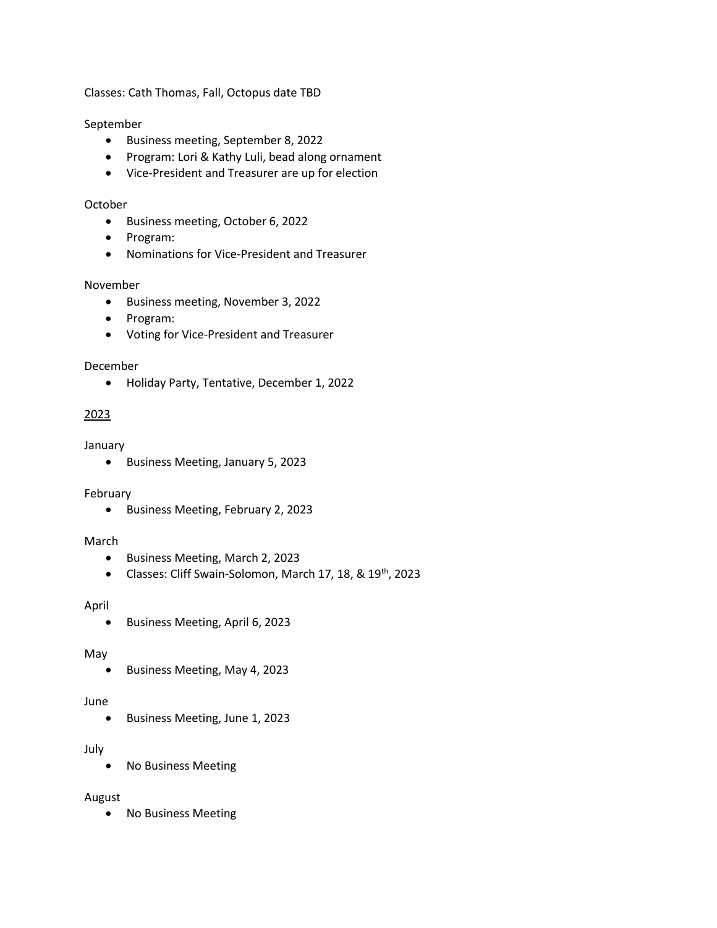Classes: Cath Thomas, Fall, Octopus date TBD

# September

- Business meeting, September 8, 2022
- Program: Lori & Kathy Luli, bead along ornament
- Vice-President and Treasurer are up for election

#### October

- Business meeting, October 6, 2022
- Program:
- Nominations for Vice-President and Treasurer

#### November

- Business meeting, November 3, 2022
- Program:
- Voting for Vice-President and Treasurer

#### December

• Holiday Party, Tentative, December 1, 2022

# 2023

#### January

• Business Meeting, January 5, 2023

#### February

• Business Meeting, February 2, 2023

#### March

- Business Meeting, March 2, 2023
- Classes: Cliff Swain-Solomon, March 17, 18, & 19<sup>th</sup>, 2023

#### April

• Business Meeting, April 6, 2023

#### May

• Business Meeting, May 4, 2023

#### June

• Business Meeting, June 1, 2023

# July

• No Business Meeting

#### August

• No Business Meeting